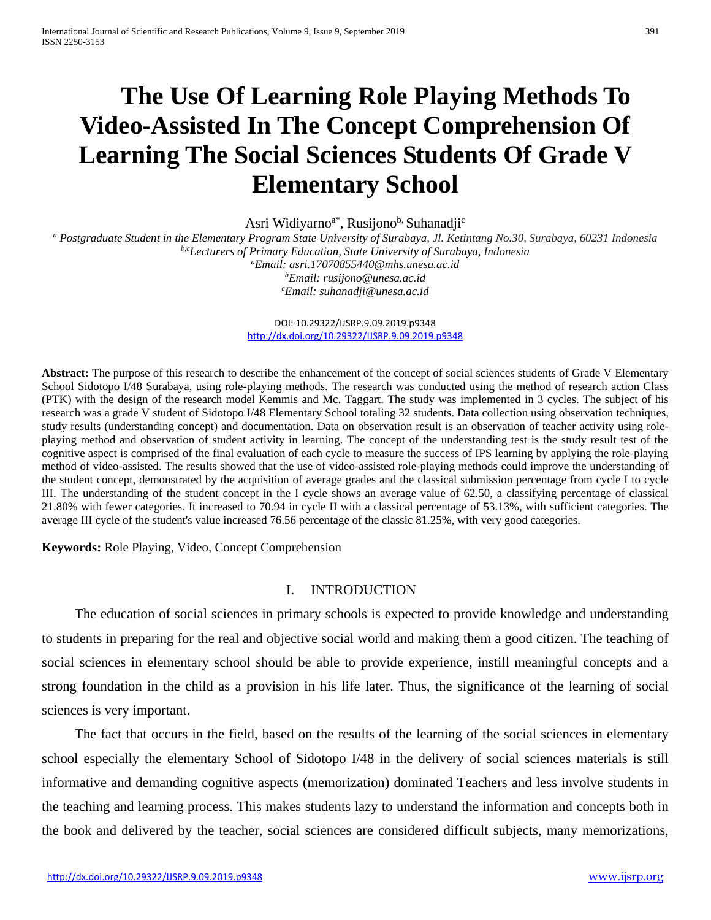# **The Use Of Learning Role Playing Methods To Video-Assisted In The Concept Comprehension Of Learning The Social Sciences Students Of Grade V Elementary School**

Asri Widiyarno<sup>a\*</sup>, Rusijono<sup>b,</sup> Suhanadji<sup>c</sup>

*<sup>a</sup> Postgraduate Student in the Elementary Program State University of Surabaya, Jl. Ketintang No.30, Surabaya, 60231 Indonesia b,cLecturers of Primary Education, State University of Surabaya, Indonesia a Email: [asri.17070855440@mhs.unesa.ac.id](mailto:asri.17070855440@mhs.unesa.ac.id)*

*b Email[: rusijono@unesa.ac.id](mailto:rusijono@unesa.ac.id) c Email: [suhanadji@unesa.ac.id](mailto:suhanadji@unesa.ac.id)*

DOI: 10.29322/IJSRP.9.09.2019.p9348 <http://dx.doi.org/10.29322/IJSRP.9.09.2019.p9348>

**Abstract:** The purpose of this research to describe the enhancement of the concept of social sciences students of Grade V Elementary School Sidotopo I/48 Surabaya, using role-playing methods. The research was conducted using the method of research action Class (PTK) with the design of the research model Kemmis and Mc. Taggart. The study was implemented in 3 cycles. The subject of his research was a grade V student of Sidotopo I/48 Elementary School totaling 32 students. Data collection using observation techniques, study results (understanding concept) and documentation. Data on observation result is an observation of teacher activity using roleplaying method and observation of student activity in learning. The concept of the understanding test is the study result test of the cognitive aspect is comprised of the final evaluation of each cycle to measure the success of IPS learning by applying the role-playing method of video-assisted. The results showed that the use of video-assisted role-playing methods could improve the understanding of the student concept, demonstrated by the acquisition of average grades and the classical submission percentage from cycle I to cycle III. The understanding of the student concept in the I cycle shows an average value of 62.50, a classifying percentage of classical 21.80% with fewer categories. It increased to 70.94 in cycle II with a classical percentage of 53.13%, with sufficient categories. The average III cycle of the student's value increased 76.56 percentage of the classic 81.25%, with very good categories.

**Keywords:** Role Playing, Video, Concept Comprehension

## I. INTRODUCTION

The education of social sciences in primary schools is expected to provide knowledge and understanding to students in preparing for the real and objective social world and making them a good citizen. The teaching of social sciences in elementary school should be able to provide experience, instill meaningful concepts and a strong foundation in the child as a provision in his life later. Thus, the significance of the learning of social sciences is very important.

The fact that occurs in the field, based on the results of the learning of the social sciences in elementary school especially the elementary School of Sidotopo I/48 in the delivery of social sciences materials is still informative and demanding cognitive aspects (memorization) dominated Teachers and less involve students in the teaching and learning process. This makes students lazy to understand the information and concepts both in the book and delivered by the teacher, social sciences are considered difficult subjects, many memorizations,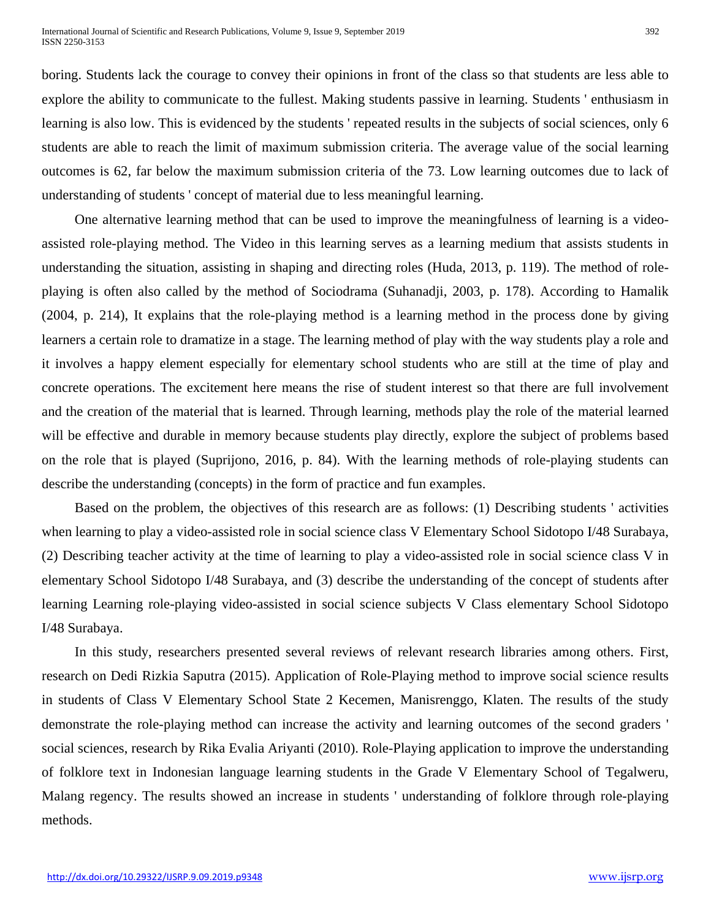boring. Students lack the courage to convey their opinions in front of the class so that students are less able to explore the ability to communicate to the fullest. Making students passive in learning. Students ' enthusiasm in learning is also low. This is evidenced by the students ' repeated results in the subjects of social sciences, only 6 students are able to reach the limit of maximum submission criteria. The average value of the social learning outcomes is 62, far below the maximum submission criteria of the 73. Low learning outcomes due to lack of understanding of students ' concept of material due to less meaningful learning.

One alternative learning method that can be used to improve the meaningfulness of learning is a videoassisted role-playing method. The Video in this learning serves as a learning medium that assists students in understanding the situation, assisting in shaping and directing roles (Huda, 2013, p. 119). The method of roleplaying is often also called by the method of Sociodrama (Suhanadji, 2003, p. 178). According to Hamalik (2004, p. 214), It explains that the role-playing method is a learning method in the process done by giving learners a certain role to dramatize in a stage. The learning method of play with the way students play a role and it involves a happy element especially for elementary school students who are still at the time of play and concrete operations. The excitement here means the rise of student interest so that there are full involvement and the creation of the material that is learned. Through learning, methods play the role of the material learned will be effective and durable in memory because students play directly, explore the subject of problems based on the role that is played (Suprijono, 2016, p. 84). With the learning methods of role-playing students can describe the understanding (concepts) in the form of practice and fun examples.

Based on the problem, the objectives of this research are as follows: (1) Describing students ' activities when learning to play a video-assisted role in social science class V Elementary School Sidotopo I/48 Surabaya, (2) Describing teacher activity at the time of learning to play a video-assisted role in social science class V in elementary School Sidotopo I/48 Surabaya, and (3) describe the understanding of the concept of students after learning Learning role-playing video-assisted in social science subjects V Class elementary School Sidotopo I/48 Surabaya.

In this study, researchers presented several reviews of relevant research libraries among others. First, research on Dedi Rizkia Saputra (2015). Application of Role-Playing method to improve social science results in students of Class V Elementary School State 2 Kecemen, Manisrenggo, Klaten. The results of the study demonstrate the role-playing method can increase the activity and learning outcomes of the second graders ' social sciences, research by Rika Evalia Ariyanti (2010). Role-Playing application to improve the understanding of folklore text in Indonesian language learning students in the Grade V Elementary School of Tegalweru, Malang regency. The results showed an increase in students ' understanding of folklore through role-playing methods.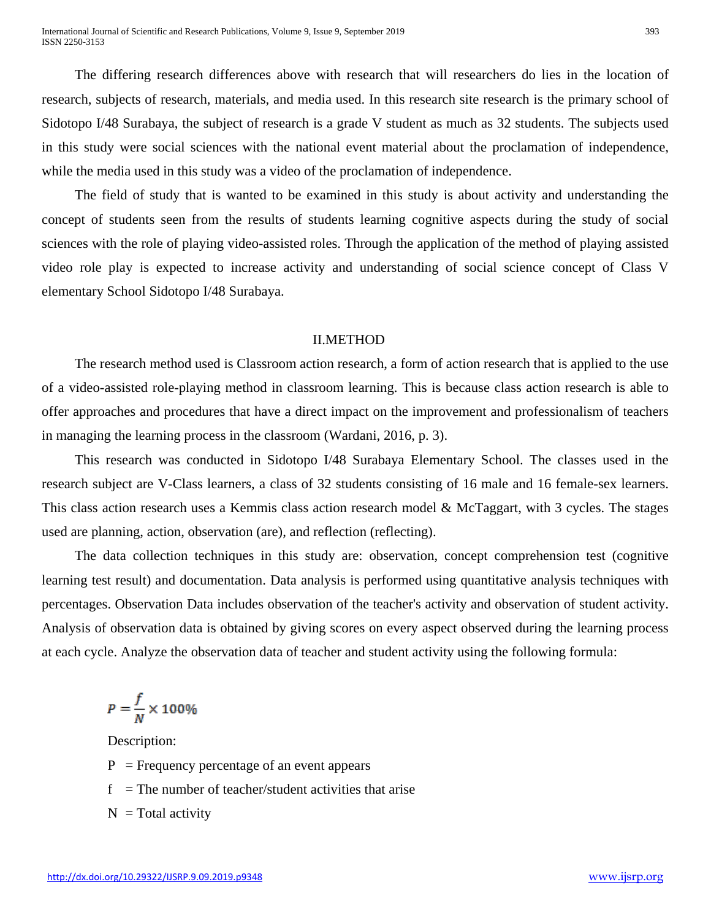The differing research differences above with research that will researchers do lies in the location of research, subjects of research, materials, and media used. In this research site research is the primary school of Sidotopo I/48 Surabaya, the subject of research is a grade V student as much as 32 students. The subjects used in this study were social sciences with the national event material about the proclamation of independence, while the media used in this study was a video of the proclamation of independence.

The field of study that is wanted to be examined in this study is about activity and understanding the concept of students seen from the results of students learning cognitive aspects during the study of social sciences with the role of playing video-assisted roles. Through the application of the method of playing assisted video role play is expected to increase activity and understanding of social science concept of Class V elementary School Sidotopo I/48 Surabaya.

#### II.METHOD

The research method used is Classroom action research, a form of action research that is applied to the use of a video-assisted role-playing method in classroom learning. This is because class action research is able to offer approaches and procedures that have a direct impact on the improvement and professionalism of teachers in managing the learning process in the classroom (Wardani, 2016, p. 3).

This research was conducted in Sidotopo I/48 Surabaya Elementary School. The classes used in the research subject are V-Class learners, a class of 32 students consisting of 16 male and 16 female-sex learners. This class action research uses a Kemmis class action research model & McTaggart, with 3 cycles. The stages used are planning, action, observation (are), and reflection (reflecting).

The data collection techniques in this study are: observation, concept comprehension test (cognitive learning test result) and documentation. Data analysis is performed using quantitative analysis techniques with percentages. Observation Data includes observation of the teacher's activity and observation of student activity. Analysis of observation data is obtained by giving scores on every aspect observed during the learning process at each cycle. Analyze the observation data of teacher and student activity using the following formula:

$$
P = \frac{f}{N} \times 100\%
$$

Description:

- $P =$  Frequency percentage of an event appears
- $f =$ The number of teacher/student activities that arise
- $N = Total activity$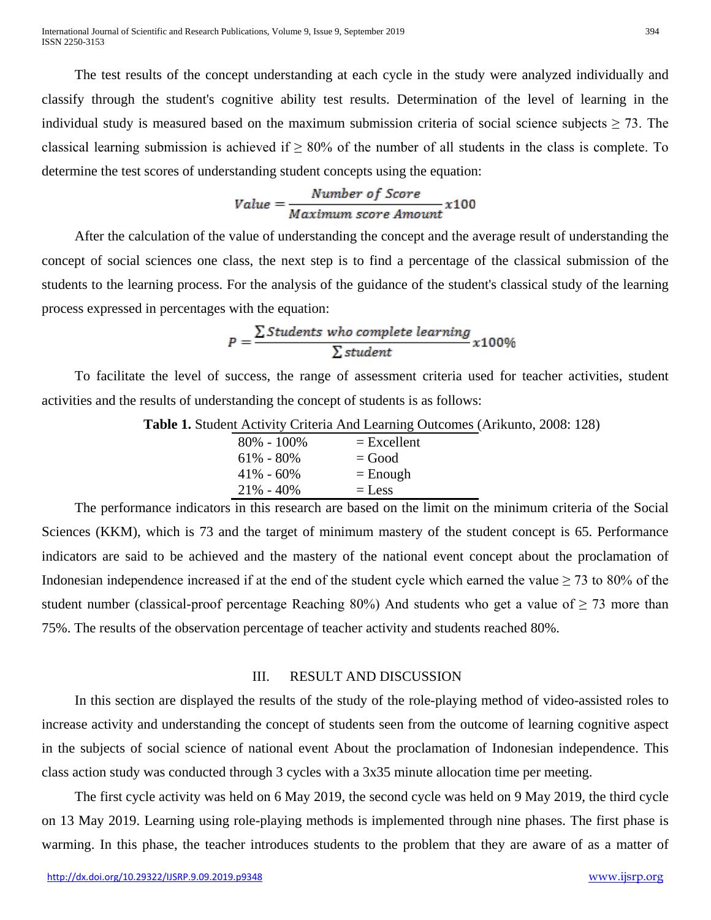The test results of the concept understanding at each cycle in the study were analyzed individually and classify through the student's cognitive ability test results. Determination of the level of learning in the individual study is measured based on the maximum submission criteria of social science subjects  $\geq$  73. The classical learning submission is achieved if  $\geq 80\%$  of the number of all students in the class is complete. To determine the test scores of understanding student concepts using the equation:

$$
Value = \frac{Number\ of\ Score}{Maximum\ score\ Amount} x100
$$

After the calculation of the value of understanding the concept and the average result of understanding the concept of social sciences one class, the next step is to find a percentage of the classical submission of the students to the learning process. For the analysis of the guidance of the student's classical study of the learning process expressed in percentages with the equation:

$$
P = \frac{\sum Students\ who\ complete\ learning}{\sum student}x100\%
$$

To facilitate the level of success, the range of assessment criteria used for teacher activities, student activities and the results of understanding the concept of students is as follows:

**Table 1.** Student Activity Criteria And Learning Outcomes (Arikunto, 2008: 128)

| $80\% - 100\%$ | $=$ Excellent |
|----------------|---------------|
| $61\% - 80\%$  | $=$ Good      |
| $41\% - 60\%$  | $=$ Enough    |
| $21\% - 40\%$  | $=$ Less      |

The performance indicators in this research are based on the limit on the minimum criteria of the Social Sciences (KKM), which is 73 and the target of minimum mastery of the student concept is 65. Performance indicators are said to be achieved and the mastery of the national event concept about the proclamation of Indonesian independence increased if at the end of the student cycle which earned the value  $\geq$  73 to 80% of the student number (classical-proof percentage Reaching 80%) And students who get a value of  $\geq$  73 more than 75%. The results of the observation percentage of teacher activity and students reached 80%.

# III. RESULT AND DISCUSSION

In this section are displayed the results of the study of the role-playing method of video-assisted roles to increase activity and understanding the concept of students seen from the outcome of learning cognitive aspect in the subjects of social science of national event About the proclamation of Indonesian independence. This class action study was conducted through 3 cycles with a 3x35 minute allocation time per meeting.

The first cycle activity was held on 6 May 2019, the second cycle was held on 9 May 2019, the third cycle on 13 May 2019. Learning using role-playing methods is implemented through nine phases. The first phase is warming. In this phase, the teacher introduces students to the problem that they are aware of as a matter of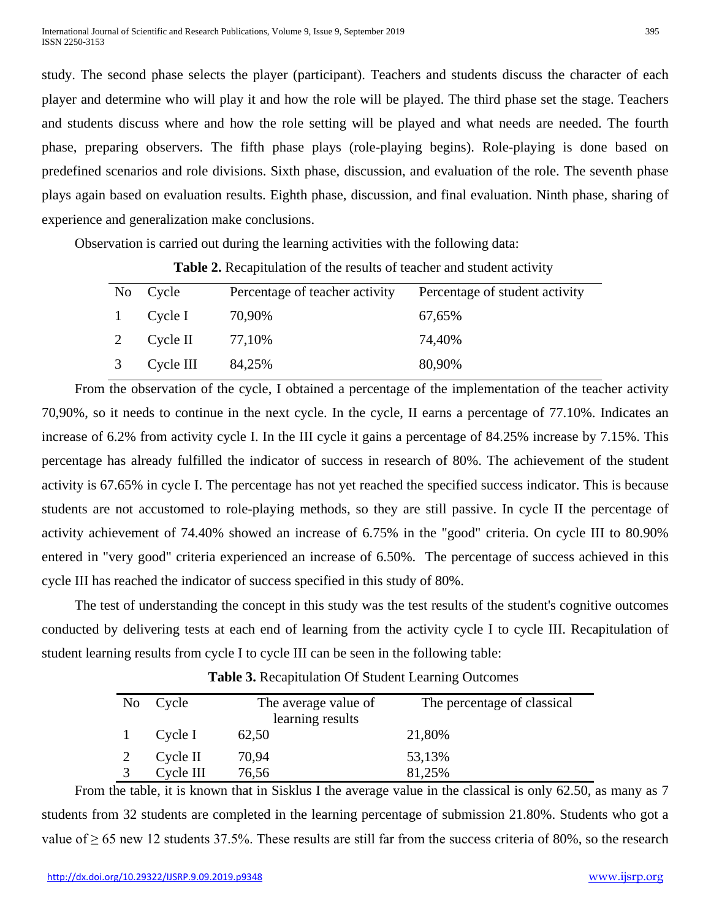study. The second phase selects the player (participant). Teachers and students discuss the character of each player and determine who will play it and how the role will be played. The third phase set the stage. Teachers and students discuss where and how the role setting will be played and what needs are needed. The fourth phase, preparing observers. The fifth phase plays (role-playing begins). Role-playing is done based on predefined scenarios and role divisions. Sixth phase, discussion, and evaluation of the role. The seventh phase plays again based on evaluation results. Eighth phase, discussion, and final evaluation. Ninth phase, sharing of experience and generalization make conclusions.

Observation is carried out during the learning activities with the following data:

|              | No Cycle  | Percentage of teacher activity | Percentage of student activity |
|--------------|-----------|--------------------------------|--------------------------------|
| $\mathbf{1}$ | Cycle I   | 70,90%                         | 67,65%                         |
| 2            | Cycle II  | 77,10%                         | 74,40%                         |
| 3            | Cycle III | 84,25%                         | 80,90%                         |

**Table 2.** Recapitulation of the results of teacher and student activity

From the observation of the cycle, I obtained a percentage of the implementation of the teacher activity 70,90%, so it needs to continue in the next cycle. In the cycle, II earns a percentage of 77.10%. Indicates an increase of 6.2% from activity cycle I. In the III cycle it gains a percentage of 84.25% increase by 7.15%. This percentage has already fulfilled the indicator of success in research of 80%. The achievement of the student activity is 67.65% in cycle I. The percentage has not yet reached the specified success indicator. This is because students are not accustomed to role-playing methods, so they are still passive. In cycle II the percentage of activity achievement of 74.40% showed an increase of 6.75% in the "good" criteria. On cycle III to 80.90% entered in "very good" criteria experienced an increase of 6.50%. The percentage of success achieved in this cycle III has reached the indicator of success specified in this study of 80%.

The test of understanding the concept in this study was the test results of the student's cognitive outcomes conducted by delivering tests at each end of learning from the activity cycle I to cycle III. Recapitulation of student learning results from cycle I to cycle III can be seen in the following table:

| No Cycle  | The average value of<br>learning results | The percentage of classical |
|-----------|------------------------------------------|-----------------------------|
| Cycle I   | 62,50                                    | 21,80%                      |
| Cycle II  | 70,94                                    | 53,13%                      |
| Cycle III | 76,56                                    | 81,25%                      |

**Table 3.** Recapitulation Of Student Learning Outcomes

From the table, it is known that in Sisklus I the average value in the classical is only 62.50, as many as 7 students from 32 students are completed in the learning percentage of submission 21.80%. Students who got a value of  $\geq 65$  new 12 students 37.5%. These results are still far from the success criteria of 80%, so the research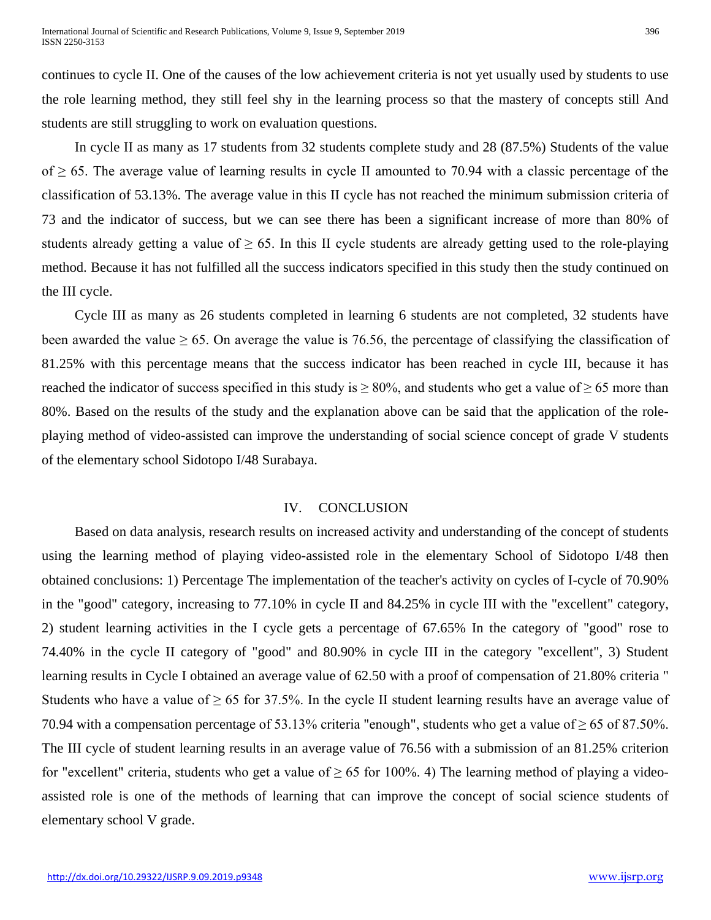continues to cycle II. One of the causes of the low achievement criteria is not yet usually used by students to use the role learning method, they still feel shy in the learning process so that the mastery of concepts still And students are still struggling to work on evaluation questions.

In cycle II as many as 17 students from 32 students complete study and 28 (87.5%) Students of the value of ≥ 65. The average value of learning results in cycle II amounted to 70.94 with a classic percentage of the classification of 53.13%. The average value in this II cycle has not reached the minimum submission criteria of 73 and the indicator of success, but we can see there has been a significant increase of more than 80% of students already getting a value of  $\geq 65$ . In this II cycle students are already getting used to the role-playing method. Because it has not fulfilled all the success indicators specified in this study then the study continued on the III cycle.

Cycle III as many as 26 students completed in learning 6 students are not completed, 32 students have been awarded the value  $\geq 65$ . On average the value is 76.56, the percentage of classifying the classification of 81.25% with this percentage means that the success indicator has been reached in cycle III, because it has reached the indicator of success specified in this study is  $\geq 80\%$ , and students who get a value of  $\geq 65$  more than 80%. Based on the results of the study and the explanation above can be said that the application of the roleplaying method of video-assisted can improve the understanding of social science concept of grade V students of the elementary school Sidotopo I/48 Surabaya.

# IV. CONCLUSION

Based on data analysis, research results on increased activity and understanding of the concept of students using the learning method of playing video-assisted role in the elementary School of Sidotopo I/48 then obtained conclusions: 1) Percentage The implementation of the teacher's activity on cycles of I-cycle of 70.90% in the "good" category, increasing to 77.10% in cycle II and 84.25% in cycle III with the "excellent" category, 2) student learning activities in the I cycle gets a percentage of 67.65% In the category of "good" rose to 74.40% in the cycle II category of "good" and 80.90% in cycle III in the category "excellent", 3) Student learning results in Cycle I obtained an average value of 62.50 with a proof of compensation of 21.80% criteria " Students who have a value of  $\geq 65$  for 37.5%. In the cycle II student learning results have an average value of 70.94 with a compensation percentage of 53.13% criteria "enough", students who get a value of  $\geq 65$  of 87.50%. The III cycle of student learning results in an average value of 76.56 with a submission of an 81.25% criterion for "excellent" criteria, students who get a value of  $\geq 65$  for 100%. 4) The learning method of playing a videoassisted role is one of the methods of learning that can improve the concept of social science students of elementary school V grade.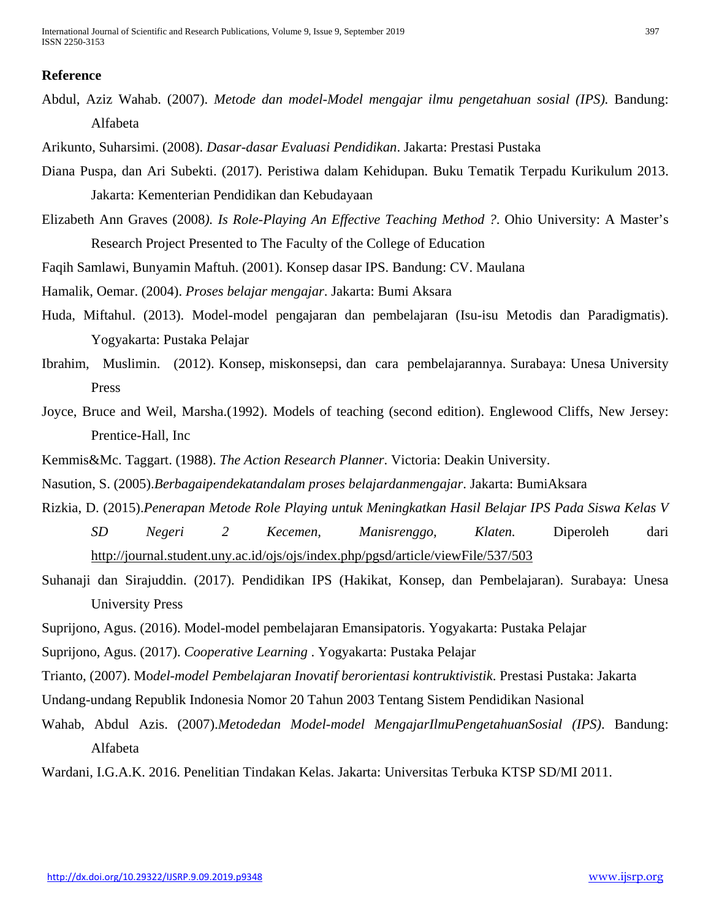## **Reference**

Abdul, Aziz Wahab. (2007). *Metode dan model-Model mengajar ilmu pengetahuan sosial (IPS).* Bandung: Alfabeta

Arikunto, Suharsimi. (2008). *Dasar-dasar Evaluasi Pendidikan*. Jakarta: Prestasi Pustaka

- Diana Puspa, dan Ari Subekti. (2017). Peristiwa dalam Kehidupan. Buku Tematik Terpadu Kurikulum 2013. Jakarta: Kementerian Pendidikan dan Kebudayaan
- Elizabeth Ann Graves (2008*). Is Role-Playing An Effective Teaching Method ?*. Ohio University: A Master's Research Project Presented to The Faculty of the College of Education
- Faqih Samlawi, Bunyamin Maftuh. (2001). Konsep dasar IPS. Bandung: CV. Maulana
- Hamalik, Oemar. (2004). *Proses belajar mengajar*. Jakarta: Bumi Aksara
- Huda, Miftahul. (2013). Model-model pengajaran dan pembelajaran (Isu-isu Metodis dan Paradigmatis). Yogyakarta: Pustaka Pelajar
- Ibrahim, Muslimin. (2012). Konsep, miskonsepsi, dan cara pembelajarannya. Surabaya: Unesa University Press
- Joyce, Bruce and Weil, Marsha.(1992). Models of teaching (second edition). Englewood Cliffs, New Jersey: Prentice-Hall, Inc
- Kemmis&Mc. Taggart. (1988). *The Action Research Planner*. Victoria: Deakin University.
- Nasution, S. (2005).*Berbagaipendekatandalam proses belajardanmengajar*. Jakarta: BumiAksara
- Rizkia, D. (2015).*Penerapan Metode Role Playing untuk Meningkatkan Hasil Belajar IPS Pada Siswa Kelas V SD Negeri 2 Kecemen, Manisrenggo, Klaten.* Diperoleh dari <http://journal.student.uny.ac.id/ojs/ojs/index.php/pgsd/article/viewFile/537/503>
- Suhanaji dan Sirajuddin. (2017). Pendidikan IPS (Hakikat, Konsep, dan Pembelajaran). Surabaya: Unesa University Press
- Suprijono, Agus. (2016). Model-model pembelajaran Emansipatoris. Yogyakarta: Pustaka Pelajar
- Suprijono, Agus. (2017). *Cooperative Learning* . Yogyakarta: Pustaka Pelajar
- Trianto, (2007). Mo*del-model Pembelajaran Inovatif berorientasi kontruktivistik*. Prestasi Pustaka: Jakarta
- Undang-undang Republik Indonesia Nomor 20 Tahun 2003 Tentang Sistem Pendidikan Nasional
- Wahab, Abdul Azis. (2007).*Metodedan Model-model MengajarIlmuPengetahuanSosial (IPS)*. Bandung: Alfabeta

Wardani, I.G.A.K. 2016. Penelitian Tindakan Kelas. Jakarta: Universitas Terbuka KTSP SD/MI 2011.